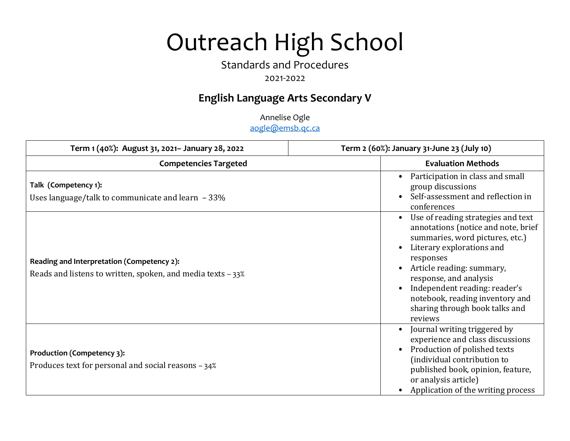# Outreach High School

## Standards and Procedures

## 2021-2022

## **English Language Arts Secondary V**

Annelise Ogle aogle@emsb.qc.ca

| Term 1 (40%): August 31, 2021- January 28, 2022                                                             | Term 2 (60%): January 31-June 23 (July 10)                                                                                                                                                                                                                                                                                     |
|-------------------------------------------------------------------------------------------------------------|--------------------------------------------------------------------------------------------------------------------------------------------------------------------------------------------------------------------------------------------------------------------------------------------------------------------------------|
| <b>Competencies Targeted</b>                                                                                | <b>Evaluation Methods</b>                                                                                                                                                                                                                                                                                                      |
| Talk (Competency 1):<br>Uses language/talk to communicate and learn $-33\%$                                 | Participation in class and small<br>group discussions<br>Self-assessment and reflection in<br>conferences                                                                                                                                                                                                                      |
| Reading and Interpretation (Competency 2):<br>Reads and listens to written, spoken, and media texts $-33\%$ | Use of reading strategies and text<br>annotations (notice and note, brief<br>summaries, word pictures, etc.)<br>Literary explorations and<br>responses<br>Article reading: summary,<br>response, and analysis<br>Independent reading: reader's<br>notebook, reading inventory and<br>sharing through book talks and<br>reviews |
| Production (Competency 3):<br>Produces text for personal and social reasons - 34%                           | Journal writing triggered by<br>experience and class discussions<br>Production of polished texts<br>(individual contribution to<br>published book, opinion, feature,<br>or analysis article)<br>Application of the writing process                                                                                             |